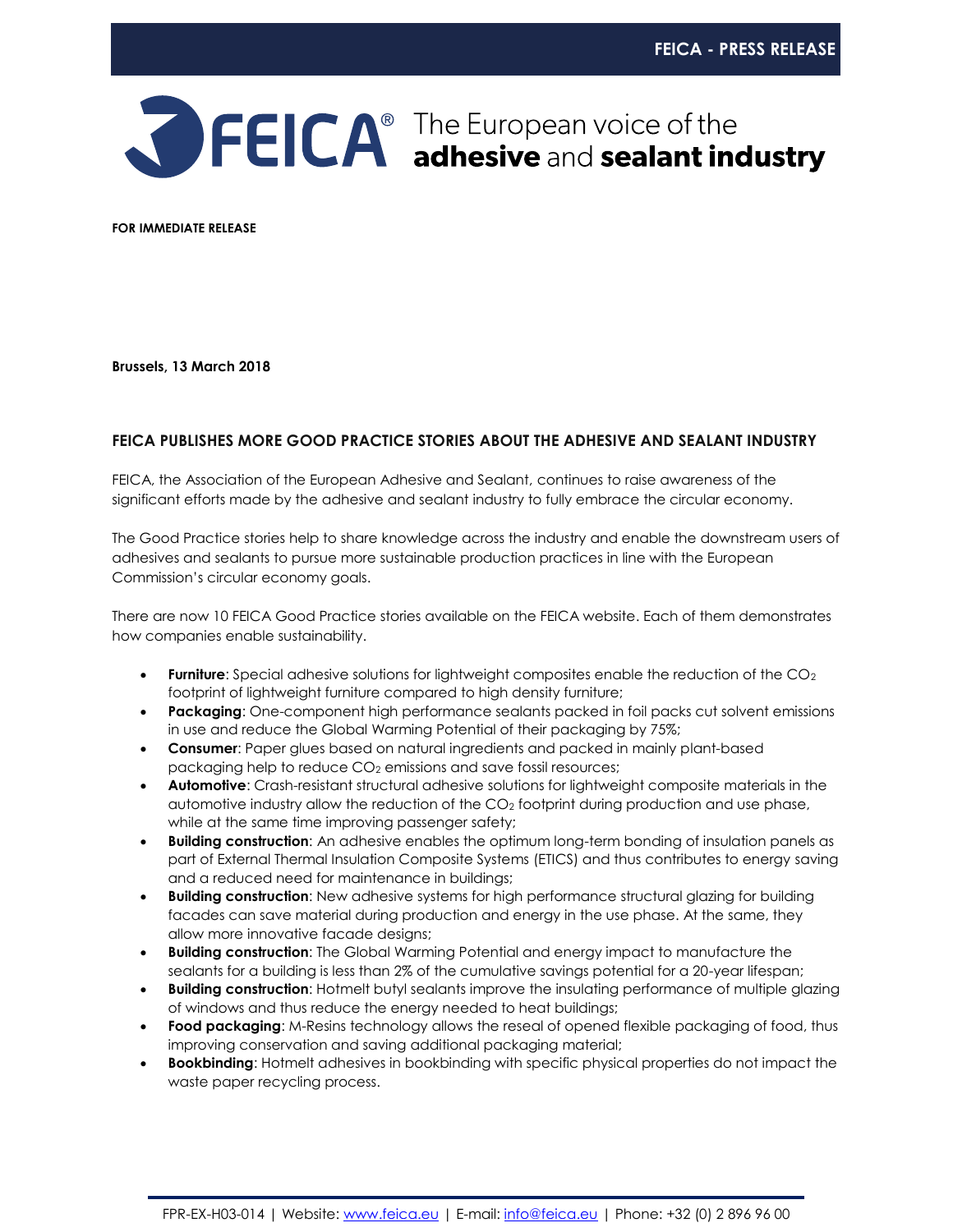

**FOR IMMEDIATE RELEASE**

**Brussels, 13 March 2018**

## **FEICA PUBLISHES MORE GOOD PRACTICE STORIES ABOUT THE ADHESIVE AND SEALANT INDUSTRY**

FEICA, the Association of the European Adhesive and Sealant, continues to raise awareness of the significant efforts made by the adhesive and sealant industry to fully embrace the circular economy.

The Good Practice stories help to share knowledge across the industry and enable the downstream users of adhesives and sealants to pursue more sustainable production practices in line with the European Commission's circular economy goals.

There are now 10 FEICA Good Practice stories available on the FEICA website. Each of them demonstrates how companies enable sustainability.

- **Furniture**: Special adhesive solutions for lightweight composites enable the reduction of the CO<sub>2</sub> footprint of lightweight furniture compared to high density furniture;
- **Packaging**: One-component high performance sealants packed in foil packs cut solvent emissions in use and reduce the Global Warming Potential of their packaging by 75%;
- **Consumer**: Paper glues based on natural ingredients and packed in mainly plant-based packaging help to reduce CO<sup>2</sup> emissions and save fossil resources;
- **Automotive**: Crash-resistant structural adhesive solutions for lightweight composite materials in the automotive industry allow the reduction of the CO<sup>2</sup> footprint during production and use phase, while at the same time improving passenger safety;
- **Building construction**: An adhesive enables the optimum long-term bonding of insulation panels as part of External Thermal Insulation Composite Systems (ETICS) and thus contributes to energy saving and a reduced need for maintenance in buildings;
- **Building construction**: New adhesive systems for high performance structural glazing for building facades can save material during production and energy in the use phase. At the same, they allow more innovative facade designs;
- **Building construction**: The Global Warming Potential and energy impact to manufacture the sealants for a building is less than 2% of the cumulative savings potential for a 20-year lifespan;
- **Building construction**: Hotmelt butyl sealants improve the insulating performance of multiple glazing of windows and thus reduce the energy needed to heat buildings;
- **Food packaging**: M-Resins technology allows the reseal of opened flexible packaging of food, thus improving conservation and saving additional packaging material;
- **Bookbinding**: Hotmelt adhesives in bookbinding with specific physical properties do not impact the waste paper recycling process.